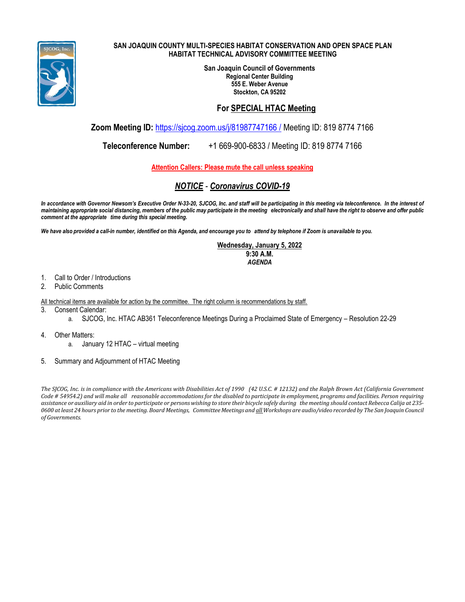

#### **SAN JOAQUIN COUNTY MULTI-SPECIES HABITAT CONSERVATION AND OPEN SPACE PLAN HABITAT TECHNICAL ADVISORY COMMITTEE MEETING**

**San Joaquin Council of Governments Regional Center Building 555 E. Weber Avenue Stockton, CA 95202**

#### **For SPECIAL HTAC Meeting**

**Zoom Meeting ID:** [https://sjcog.zoom.us/j/81987747166 /](https://sjcog.zoom.us/j/81987747166%20/) Meeting ID: 819 8774 7166

**Teleconference Number:** +1 669-900-6833 / Meeting ID: 819 8774 7166

**Attention Callers: Please mute the call unless speaking**

# *NOTICE - Coronavirus COVID-19*

In accordance with Governor Newsom's Executive Order N-33-20, SJCOG, Inc. and staff will be participating in this meeting via teleconference. In the interest of maintaining appropriate social distancing, members of the public may participate in the meeting electronically and shall have the right to observe and offer public *comment at the appropriate time during this special meeting.*

We have also provided a call-in number, identified on this Agenda, and encourage you to attend by telephone if Zoom is unavailable to you.

**Wednesday, January 5, 2022 9:30 A.M.** *AGENDA*

- 1. Call to Order / Introductions
- 2. Public Comments
- All technical items are available for action by the committee. The right column is recommendations by staff.
- 3. Consent Calendar:
	- a. SJCOG, Inc. HTAC AB361 Teleconference Meetings During a Proclaimed State of Emergency Resolution 22-29
- 4. Other Matters:
	- a. January 12 HTAC virtual meeting
- 5. Summary and Adjournment of HTAC Meeting

The SJCOG, Inc. is in compliance with the Americans with Disabilities Act of 1990 (42 U.S.C. # 12132) and the Ralph Brown Act (California Government Code # 54954.2) and will make all reasonable accommodations for the disabled to participate in employment, programs and facilities. Person requiring assistance or auxiliary aid in order to participate or persons wishing to store their bicycle safely during the meeting should contact Rebecca Calija at 235-0600 at least 24 hours prior to the meeting. Board Meetings, Committee Meetings and all Workshops are audio/video recorded by The San Joaquin Council *of Governments.*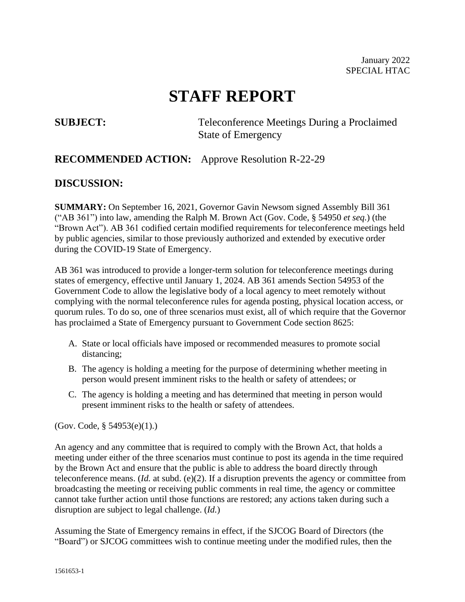# **STAFF REPORT**

**SUBJECT:** Teleconference Meetings During a Proclaimed State of Emergency

# **RECOMMENDED ACTION:** Approve Resolution R-22-29

# **DISCUSSION:**

**SUMMARY:** On September 16, 2021, Governor Gavin Newsom signed Assembly Bill 361 ("AB 361") into law, amending the Ralph M. Brown Act (Gov. Code, § 54950 *et seq.*) (the "Brown Act"). AB 361 codified certain modified requirements for teleconference meetings held by public agencies, similar to those previously authorized and extended by executive order during the COVID-19 State of Emergency.

AB 361 was introduced to provide a longer-term solution for teleconference meetings during states of emergency, effective until January 1, 2024. AB 361 amends Section 54953 of the Government Code to allow the legislative body of a local agency to meet remotely without complying with the normal teleconference rules for agenda posting, physical location access, or quorum rules. To do so, one of three scenarios must exist, all of which require that the Governor has proclaimed a State of Emergency pursuant to Government Code section 8625:

- A. State or local officials have imposed or recommended measures to promote social distancing;
- B. The agency is holding a meeting for the purpose of determining whether meeting in person would present imminent risks to the health or safety of attendees; or
- C. The agency is holding a meeting and has determined that meeting in person would present imminent risks to the health or safety of attendees.

(Gov. Code, § 54953(e)(1).)

An agency and any committee that is required to comply with the Brown Act, that holds a meeting under either of the three scenarios must continue to post its agenda in the time required by the Brown Act and ensure that the public is able to address the board directly through teleconference means. (*Id.* at subd. (e)(2). If a disruption prevents the agency or committee from broadcasting the meeting or receiving public comments in real time, the agency or committee cannot take further action until those functions are restored; any actions taken during such a disruption are subject to legal challenge. (*Id.*)

Assuming the State of Emergency remains in effect, if the SJCOG Board of Directors (the "Board") or SJCOG committees wish to continue meeting under the modified rules, then the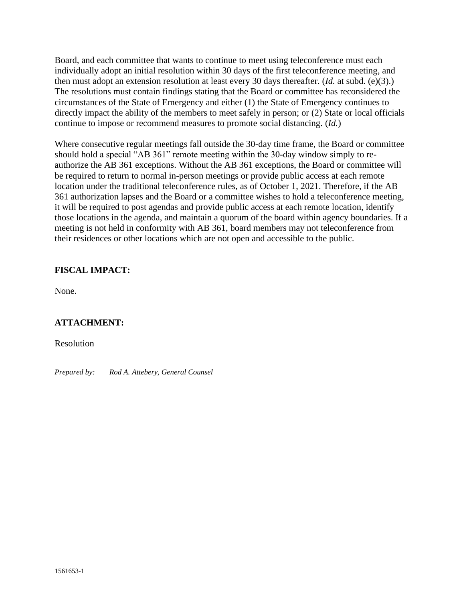Board, and each committee that wants to continue to meet using teleconference must each individually adopt an initial resolution within 30 days of the first teleconference meeting, and then must adopt an extension resolution at least every 30 days thereafter. (*Id.* at subd. (e)(3).) The resolutions must contain findings stating that the Board or committee has reconsidered the circumstances of the State of Emergency and either (1) the State of Emergency continues to directly impact the ability of the members to meet safely in person; or (2) State or local officials continue to impose or recommend measures to promote social distancing. (*Id.*)

Where consecutive regular meetings fall outside the 30-day time frame, the Board or committee should hold a special "AB 361" remote meeting within the 30-day window simply to reauthorize the AB 361 exceptions. Without the AB 361 exceptions, the Board or committee will be required to return to normal in-person meetings or provide public access at each remote location under the traditional teleconference rules, as of October 1, 2021. Therefore, if the AB 361 authorization lapses and the Board or a committee wishes to hold a teleconference meeting, it will be required to post agendas and provide public access at each remote location, identify those locations in the agenda, and maintain a quorum of the board within agency boundaries. If a meeting is not held in conformity with AB 361, board members may not teleconference from their residences or other locations which are not open and accessible to the public.

#### **FISCAL IMPACT:**

None.

### **ATTACHMENT:**

Resolution

*Prepared by: Rod A. Attebery, General Counsel*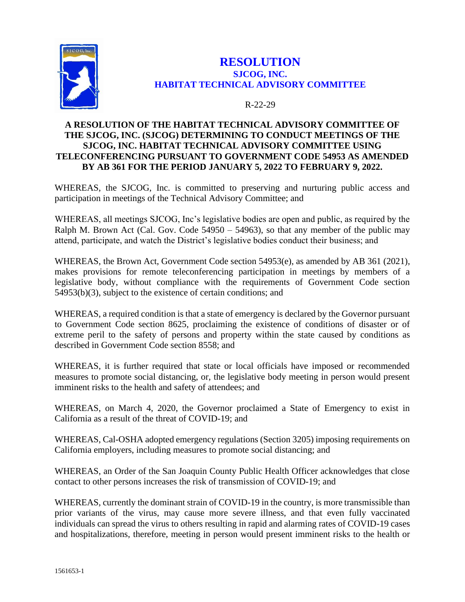

# **RESOLUTION SJCOG, INC. HABITAT TECHNICAL ADVISORY COMMITTEE**

#### R-22-29

#### **A RESOLUTION OF THE HABITAT TECHNICAL ADVISORY COMMITTEE OF THE SJCOG, INC. (SJCOG) DETERMINING TO CONDUCT MEETINGS OF THE SJCOG, INC. HABITAT TECHNICAL ADVISORY COMMITTEE USING TELECONFERENCING PURSUANT TO GOVERNMENT CODE 54953 AS AMENDED BY AB 361 FOR THE PERIOD JANUARY 5, 2022 TO FEBRUARY 9, 2022.**

WHEREAS, the SJCOG, Inc. is committed to preserving and nurturing public access and participation in meetings of the Technical Advisory Committee; and

WHEREAS, all meetings SJCOG, Inc's legislative bodies are open and public, as required by the Ralph M. Brown Act (Cal. Gov. Code 54950 – 54963), so that any member of the public may attend, participate, and watch the District's legislative bodies conduct their business; and

WHEREAS, the Brown Act, Government Code section 54953(e), as amended by AB 361 (2021), makes provisions for remote teleconferencing participation in meetings by members of a legislative body, without compliance with the requirements of Government Code section 54953(b)(3), subject to the existence of certain conditions; and

WHEREAS, a required condition is that a state of emergency is declared by the Governor pursuant to Government Code section 8625, proclaiming the existence of conditions of disaster or of extreme peril to the safety of persons and property within the state caused by conditions as described in Government Code section 8558; and

WHEREAS, it is further required that state or local officials have imposed or recommended measures to promote social distancing, or, the legislative body meeting in person would present imminent risks to the health and safety of attendees; and

WHEREAS, on March 4, 2020, the Governor proclaimed a State of Emergency to exist in California as a result of the threat of COVID-19; and

WHEREAS, Cal-OSHA adopted emergency regulations (Section 3205) imposing requirements on California employers, including measures to promote social distancing; and

WHEREAS, an Order of the San Joaquin County Public Health Officer acknowledges that close contact to other persons increases the risk of transmission of COVID-19; and

WHEREAS, currently the dominant strain of COVID-19 in the country, is more transmissible than prior variants of the virus, may cause more severe illness, and that even fully vaccinated individuals can spread the virus to others resulting in rapid and alarming rates of COVID-19 cases and hospitalizations, therefore, meeting in person would present imminent risks to the health or